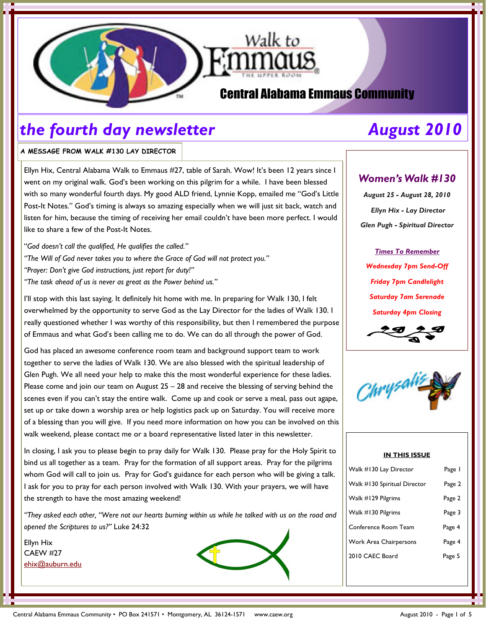

# Central Alabama Emmaus Community

# the fourth day newsletter The August 2010

### A MESSAGE FROM WALK #130 LAY DIRECTOR

Ellyn Hix, Central Alabama Walk to Emmaus #27, table of Sarah. Wow! It's been 12 years since I went on my original walk. God's been working on this pilgrim for a while. I have been blessed with so many wonderful fourth days. My good ALD friend, Lynnie Kopp, emailed me "God's Little Post-It Notes." God's timing is always so amazing especially when we will just sit back, watch and listen for him, because the timing of receiving her email couldn't have been more perfect. I would like to share a few of the Post-It Notes.

"God doesn't call the qualified, He qualifies the called." "The Will of God never takes you to where the Grace of God will not protect you." "Prayer: Don't give God instructions, just report for duty!" "The task ahead of us is never as great as the Power behind us."

I'll stop with this last saying. It definitely hit home with me. In preparing for Walk 130, I felt overwhelmed by the opportunity to serve God as the Lay Director for the ladies of Walk 130. I really questioned whether I was worthy of this responsibility, but then I remembered the purpose of Emmaus and what God's been calling me to do. We can do all through the power of God.

God has placed an awesome conference room team and background support team to work together to serve the ladies of Walk 130. We are also blessed with the spiritual leadership of Glen Pugh. We all need your help to make this the most wonderful experience for these ladies. Please come and join our team on August  $25 - 28$  and receive the blessing of serving behind the scenes even if you can't stay the entire walk. Come up and cook or serve a meal, pass out agape, set up or take down a worship area or help logistics pack up on Saturday. You will receive more of a blessing than you will give. If you need more information on how you can be involved on this walk weekend, please contact me or a board representative listed later in this newsletter.

In closing, I ask you to please begin to pray daily for Walk 130. Please pray for the Holy Spirit to bind us all together as a team. Pray for the formation of all support areas. Pray for the pilgrims whom God will call to join us. Pray for God's guidance for each person who will be giving a talk. I ask for you to pray for each person involved with Walk 130. With your prayers, we will have the strength to have the most amazing weekend!

"They asked each other, "Were not our hearts burning within us while he talked with us on the road and opened the Scriptures to us?" Luke 24:32

Ellyn Hix CAEW #27 ehix@auburn.edu



## Women's Walk #130

August 25 - August 28, 2010 Ellyn Hix - Lay Director Glen Pugh - Spiritual Director

Times To Remember Wednesday 7pm Send-Off Friday 7pm Candlelight Saturday 7am Serenade Saturday 4pm Closing



### IN THIS ISSUE

| Walk #130 Lay Director        | Page I |
|-------------------------------|--------|
| Walk #130 Spiritual Director  | Page 2 |
| Walk #129 Pilgrims            | Page 2 |
| Walk #130 Pilgrims            | Page 3 |
| Conference Room Team          | Page 4 |
| <b>Work Area Chairpersons</b> | Page 4 |
| 2010 CAEC Board               | Page 5 |
|                               |        |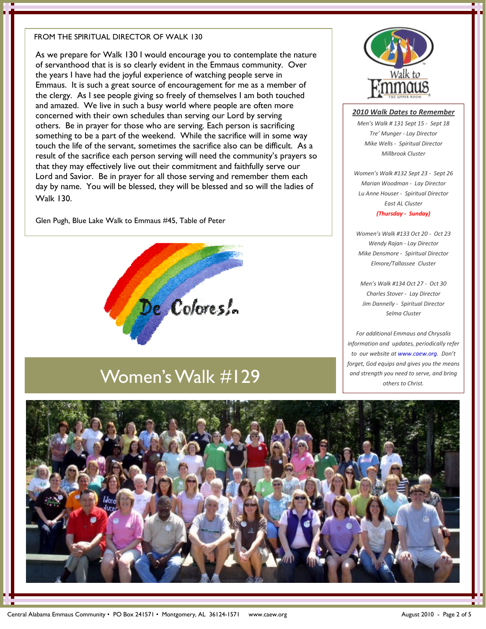### FROM THE SPIRITUAL DIRECTOR OF WALK 130

As we prepare for Walk 130 I would encourage you to contemplate the nature of servanthood that is is so clearly evident in the Emmaus community. Over the years I have had the joyful experience of watching people serve in Emmaus. It is such a great source of encouragement for me as a member of the clergy. As I see people giving so freely of themselves I am both touched and amazed. We live in such a busy world where people are often more concerned with their own schedules than serving our Lord by serving others. Be in prayer for those who are serving. Each person is sacrificing something to be a part of the weekend. While the sacrifice will in some way touch the life of the servant, sometimes the sacrifice also can be difficult. As a result of the sacrifice each person serving will need the community's prayers so that they may effectively live out their commitment and faithfully serve our Lord and Savior. Be in prayer for all those serving and remember them each day by name. You will be blessed, they will be blessed and so will the ladies of Walk 130.

Glen Pugh, Blue Lake Walk to Emmaus #45, Table of Peter



# Women's Walk #129



### 2010 Walk Dates to Remember

Men's Walk # 131 Sept 15 - Sept 18 Tre' Munger - Lay Director Mike Wells - Spiritual Director Millbrook Cluster

Women's Walk #132 Sept 23 - Sept 26 Marian Woodman - Lay Director Lu Anne Houser - Spiritual Director East AL Cluster (Thursday - Sunday)

Women's Walk #133 Oct 20 - Oct 23 Wendy Rajan - Lay Director Mike Densmore - Spiritual Director Elmore/Tallassee Cluster

Men's Walk #134 Oct 27 - Oct 30 Charles Stover - Lay Director Jim Dannelly - Spiritual Director Selma Cluster

For additional Emmaus and Chrysalis information and updates, periodically refer to our website at www.caew.org. Don't forget, God equips and gives you the means and strength you need to serve, and bring others to Christ.

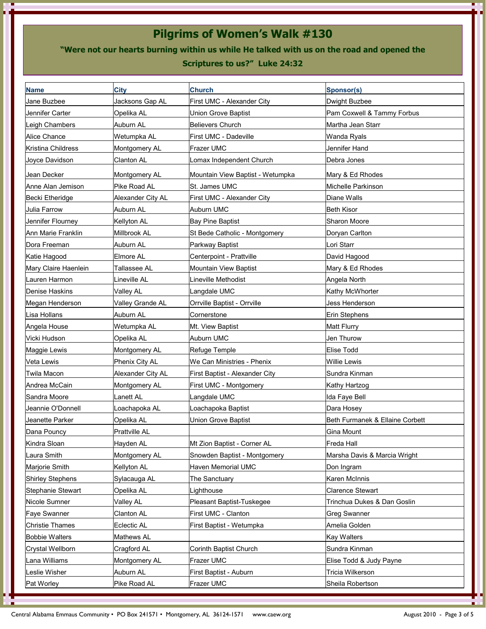# Pilgrims of Women's Walk #130

"Were not our hearts burning within us while He talked with us on the road and opened the

### Scriptures to us?" Luke 24:32

| <b>Name</b>              | <b>City</b>          | <b>Church</b>                    | <b>Sponsor(s)</b>               |
|--------------------------|----------------------|----------------------------------|---------------------------------|
| Jane Buzbee              | Jacksons Gap AL      | First UMC - Alexander City       | Dwight Buzbee                   |
| Jennifer Carter          | Opelika AL           | <b>Union Grove Baptist</b>       | Pam Coxwell & Tammy Forbus      |
| Leigh Chambers           | Auburn AL            | <b>Believers Church</b>          | Martha Jean Starr               |
| Alice Chance             | Wetumpka AL          | First UMC - Dadeville            | <b>Wanda Ryals</b>              |
| Kristina Childress       | Montgomery AL        | Frazer UMC                       | Jennifer Hand                   |
| Joyce Davidson           | <b>Clanton AL</b>    | Lomax Independent Church         | Debra Jones                     |
| Jean Decker              | Montgomery AL        | Mountain View Baptist - Wetumpka | Mary & Ed Rhodes                |
| Anne Alan Jemison        | Pike Road AL         | St. James UMC                    | Michelle Parkinson              |
| Becki Etheridge          | Alexander City AL    | First UMC - Alexander City       | Diane Walls                     |
| Julia Farrow             | Auburn AL            | Auburn UMC                       | <b>Beth Kisor</b>               |
| Jennifer Flourney        | Kellyton AL          | <b>Bay Pine Baptist</b>          | Sharon Moore                    |
| Ann Marie Franklin       | Millbrook AL         | St Bede Catholic - Montgomery    | Doryan Carlton                  |
| Dora Freeman             | Auburn AL            | Parkway Baptist                  | Lori Starr                      |
| Katie Hagood             | Elmore AL            | Centerpoint - Prattville         | David Hagood                    |
| Mary Claire Haenlein     | Tallassee AL         | Mountain View Baptist            | Mary & Ed Rhodes                |
| Lauren Harmon            | Lineville AL         | Lineville Methodist              | Angela North                    |
| Denise Haskins           | Valley AL            | Langdale UMC                     | Kathy McWhorter                 |
| Megan Henderson          | Valley Grande AL     | Orrville Baptist - Orrville      | Jess Henderson                  |
| Lisa Hollans             | Auburn AL            | Cornerstone                      | Erin Stephens                   |
| Angela House             | Wetumpka AL          | Mt. View Baptist                 | <b>Matt Flurry</b>              |
| Vicki Hudson             | Opelika AL           | Auburn UMC                       | Jen Thurow                      |
| Maggie Lewis             | Montgomery AL        | Refuge Temple                    | <b>Elise Todd</b>               |
| <b>Veta Lewis</b>        | Phenix City AL       | We Can Ministries - Phenix       | <b>Willie Lewis</b>             |
| Twila Macon              | Alexander City AL    | First Baptist - Alexander City   | Sundra Kinman                   |
| Andrea McCain            | Montgomery AL        | First UMC - Montgomery           | Kathy Hartzog                   |
| Sandra Moore             | Lanett AL            | Langdale UMC                     | Ida Faye Bell                   |
| Jeannie O'Donnell        | Loachapoka AL        | Loachapoka Baptist               | Dara Hosey                      |
| Jeanette Parker          | Opelika AL           | <b>Union Grove Baptist</b>       | Beth Furmanek & Ellaine Corbett |
| Dana Pouncy              | <b>Prattville AL</b> |                                  | Gina Mount                      |
| Kindra Sloan             | Hayden AL            | Mt Zion Baptist - Corner AL      | <b>Freda Hall</b>               |
| Laura Smith              | Montgomery AL        | Snowden Baptist - Montgomery     | Marsha Davis & Marcia Wright    |
| Marjorie Smith           | Kellyton AL          | Haven Memorial UMC               | Don Ingram                      |
| <b>Shirley Stephens</b>  | Sylacauga AL         | The Sanctuary                    | Karen McInnis                   |
| <b>Stephanie Stewart</b> | Opelika AL           | Lighthouse                       | <b>Clarence Stewart</b>         |
| Nicole Sumner            | Valley AL            | Pleasant Baptist-Tuskegee        | Trinchua Dukes & Dan Goslin     |
| <b>Faye Swanner</b>      | <b>Clanton AL</b>    | First UMC - Clanton              | <b>Greg Swanner</b>             |
| <b>Christie Thames</b>   | Eclectic AL          | First Baptist - Wetumpka         | Amelia Golden                   |
| <b>Bobbie Walters</b>    | Mathews AL           |                                  | <b>Kay Walters</b>              |
| Crystal Wellborn         | Cragford AL          | Corinth Baptist Church           | Sundra Kinman                   |
| Lana Williams            | Montgomery AL        | Frazer UMC                       | Elise Todd & Judy Payne         |
| Leslie Wisher            | Auburn AL            | First Baptist - Auburn           | Tricia Wilkerson                |
| Pat Worley               | Pike Road AL         | Frazer UMC                       | Sheila Robertson                |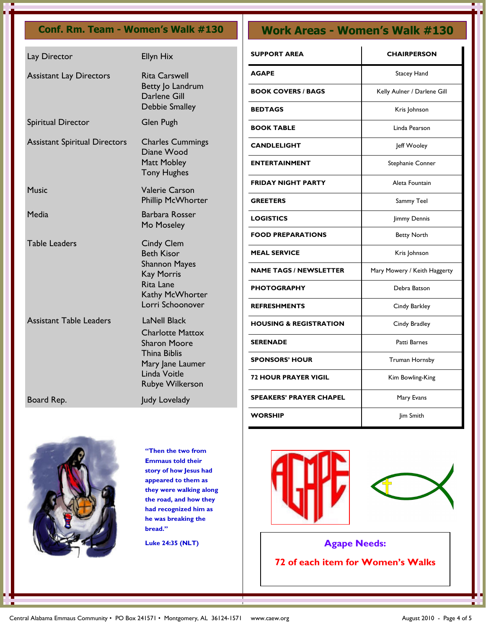| Lay Director                         | Ellyn Hix                                                                                                                                           |
|--------------------------------------|-----------------------------------------------------------------------------------------------------------------------------------------------------|
| <b>Assistant Lay Directors</b>       | <b>Rita Carswell</b><br>Betty Jo Landrum<br>Darlene Gill<br>Debbie Smalley                                                                          |
| Spiritual Director                   | Glen Pugh                                                                                                                                           |
| <b>Assistant Spiritual Directors</b> | <b>Charles Cummings</b><br>Diane Wood<br>Matt Mobley<br><b>Tony Hughes</b>                                                                          |
| Music                                | <b>Valerie Carson</b><br>Phillip McWhorter                                                                                                          |
| Media                                | Barbara Rosser<br>Mo Moseley                                                                                                                        |
| <b>Table Leaders</b>                 | <b>Cindy Clem</b><br><b>Beth Kisor</b><br><b>Shannon Mayes</b><br><b>Kay Morris</b><br><b>Rita Lane</b><br>Kathy McWhorter<br>Lorri Schoonover      |
| <b>Assistant Table Leaders</b>       | <b>LaNell Black</b><br><b>Charlotte Mattox</b><br><b>Sharon Moore</b><br>Thina Biblis<br>Mary Jane Laumer<br>Linda Voitle<br><b>Rubye Wilkerson</b> |
| Board Rep.                           | Judy Lovelady                                                                                                                                       |

# Conf. Rm. Team - Women's Walk #130 Work Areas - Women's Walk #130

| <b>SUPPORT AREA</b>               | <b>CHAIRPERSON</b>           |  |
|-----------------------------------|------------------------------|--|
| <b>AGAPE</b>                      | Stacey Hand                  |  |
| <b>BOOK COVERS / BAGS</b>         | Kelly Aulner / Darlene Gill  |  |
| <b>BEDTAGS</b>                    | Kris Johnson                 |  |
| <b>BOOK TABLE</b>                 | Linda Pearson                |  |
| <b>CANDLELIGHT</b>                | Jeff Wooley                  |  |
| <b>ENTERTAINMENT</b>              | Stephanie Conner             |  |
| <b>FRIDAY NIGHT PARTY</b>         | Aleta Fountain               |  |
| <b>GREETERS</b>                   | Sammy Teel                   |  |
| <b>LOGISTICS</b>                  | Jimmy Dennis                 |  |
| <b>FOOD PREPARATIONS</b>          | <b>Betty North</b>           |  |
| <b>MEAL SERVICE</b>               | Kris Johnson                 |  |
| <b>NAME TAGS / NEWSLETTER</b>     | Mary Mowery / Keith Haggerty |  |
| <b>PHOTOGRAPHY</b>                | Debra Batson                 |  |
| <b>REFRESHMENTS</b>               | Cindy Barkley                |  |
| <b>HOUSING &amp; REGISTRATION</b> | Cindy Bradley                |  |
| <b>SERENADE</b>                   | Patti Barnes                 |  |
| <b>SPONSORS' HOUR</b>             | Truman Hornsby               |  |
| <b>72 HOUR PRAYER VIGIL</b>       | Kim Bowling-King             |  |
| <b>SPEAKERS' PRAYER CHAPEL</b>    | Mary Evans                   |  |
| WORSHIP                           | Jim Smith                    |  |



"Then the two from Emmaus told their story of how Jesus had appeared to them as they were walking along the road, and how they had recognized him as he was breaking the bread."

Luke 24:35 (NLT)





Agape Needs: 72 of each item for Women's Walks